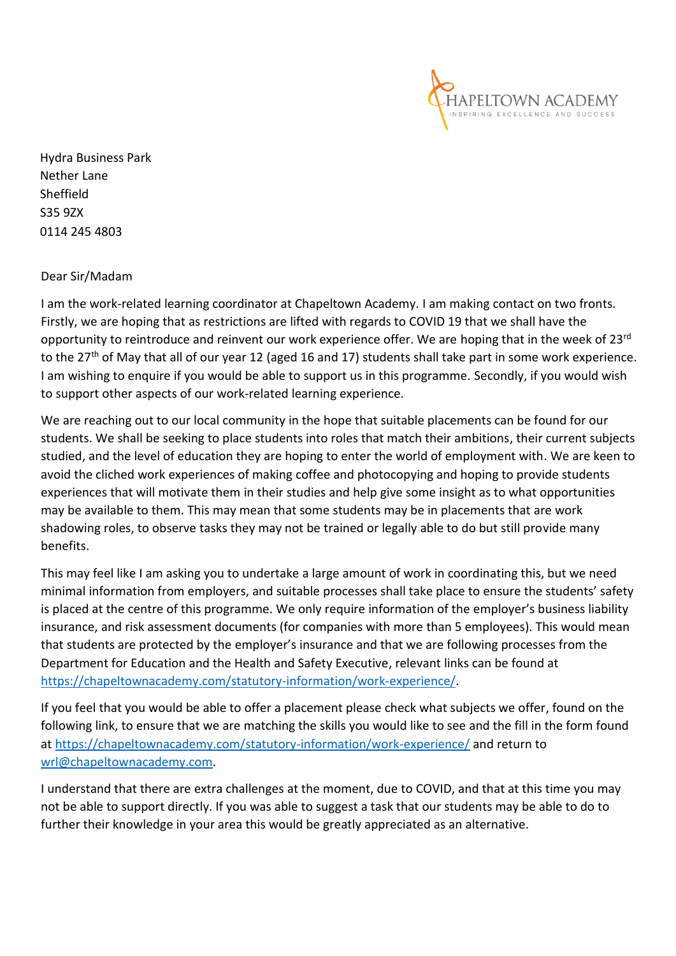

Hydra Business Park Nether Lane Sheffield S35 9ZX 0114 245 4803

Dear Sir/Madam

I am the work-related learning coordinator at Chapeltown Academy. I am making contact on two fronts. Firstly, we are hoping that as restrictions are lifted with regards to COVID 19 that we shall have the opportunity to reintroduce and reinvent our work experience offer. We are hoping that in the week of 23<sup>rd</sup> to the 27<sup>th</sup> of May that all of our year 12 (aged 16 and 17) students shall take part in some work experience. I am wishing to enquire if you would be able to support us in this programme. Secondly, if you would wish to support other aspects of our work-related learning experience.

We are reaching out to our local community in the hope that suitable placements can be found for our students. We shall be seeking to place students into roles that match their ambitions, their current subjects studied, and the level of education they are hoping to enter the world of employment with. We are keen to avoid the cliched work experiences of making coffee and photocopying and hoping to provide students experiences that will motivate them in their studies and help give some insight as to what opportunities may be available to them. This may mean that some students may be in placements that are work shadowing roles, to observe tasks they may not be trained or legally able to do but still provide many benefits.

This may feel like I am asking you to undertake a large amount of work in coordinating this, but we need minimal information from employers, and suitable processes shall take place to ensure the students' safety is placed at the centre of this programme. We only require information of the employer's business liability insurance, and risk assessment documents (for companies with more than 5 employees). This would mean that students are protected by the employer's insurance and that we are following processes from the Department for Education and the Health and Safety Executive, relevant links can be found at [https://chapeltownacademy.com/statutory-information/work-experience/.](https://chapeltownacademy.com/statutory-information/work-experience/)

If you feel that you would be able to offer a placement please check what subjects we offer, found on the following link, to ensure that we are matching the skills you would like to see and the fill in the form found at <https://chapeltownacademy.com/statutory-information/work-experience/> and return to [wrl@chapeltownacademy.com.](mailto:wrl@chapeltownacademy.com)

I understand that there are extra challenges at the moment, due to COVID, and that at this time you may not be able to support directly. If you was able to suggest a task that our students may be able to do to further their knowledge in your area this would be greatly appreciated as an alternative.